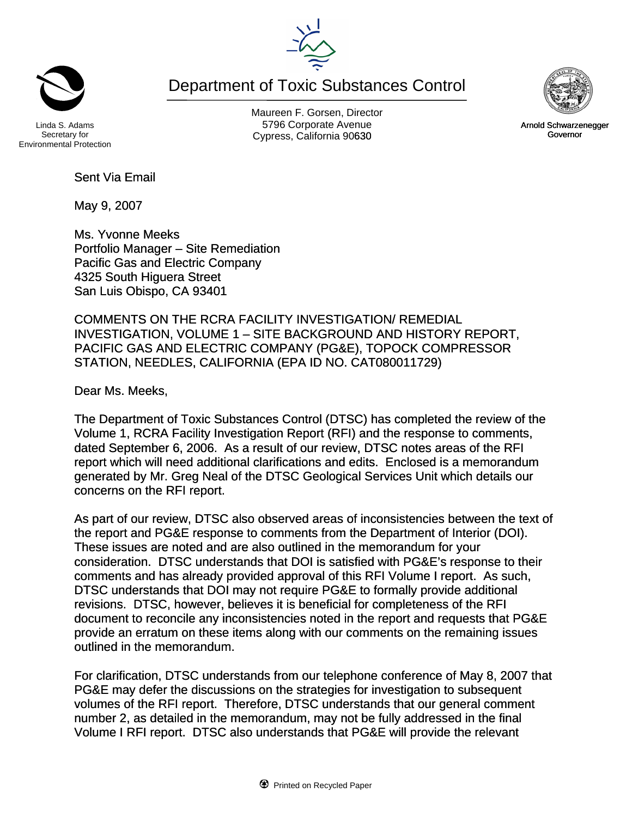Maureen F. Gorsen, Director Linda S. Adams **Example 20 Constructs** S796 Corporate Avenu Cypress, California 90630 **Canadian Cypress**, California 90630

Department of Toxic Substances Control

Environmental Protection

Sent Via Email

May 9, 2007

Ms. Yvonne Meeks Portfolio Manager – Site Remediation Pacific Gas and Electric Company 4325 South Higuera Street San Luis Obispo, CA 93401

COMMENTS ON THE RCRA FACILITY INVESTIGATION/ REMEDIAL INVESTIGATION, VOLUME 1 – SITE BACKGROUND AND HISTORY REPORT, PACIFIC GAS AND ELECTRIC COMPANY (PG&E), TOPOCK COMPRESSOR STATION, NEEDLES, CALIFORNIA (EPA ID NO. CAT080011729)

Dear Ms. Meeks,

The Department of Toxic Substances Control (DTSC) has completed the review of the Volume 1, RCRA Facility Investigation Report (RFI) and the response to comments, dated September 6, 2006. As a result of our review, DTSC notes areas of the RFI report which will need additional clarifications and edits. Enclosed is a memorandum generated by Mr. Greg Neal of the DTSC Geological Services Unit which details our concerns on the RFI report.

As part of our review, DTSC also observed areas of inconsistencies between the text of the report and PG&E response to comments from the Department of Interior (DOI). These issues are noted and are also outlined in the memorandum for your consideration. DTSC understands that DOI is satisfied with PG&E's response to their comments and has already provided approval of this RFI Volume I report. As such, DTSC understands that DOI may not require PG&E to formally provide additional revisions. DTSC, however, believes it is beneficial for completeness of the RFI document to reconcile any inconsistencies noted in the report and requests that PG&E provide an erratum on these items along with our comments on the remaining issues outlined in the memorandum.

For clarification, DTSC understands from our telephone conference of May 8, 2007 that PG&E may defer the discussions on the strategies for investigation to subsequent volumes of the RFI report. Therefore, DTSC understands that our general comment number 2, as detailed in the memorandum, may not be fully addressed in the final Volume I RFI report. DTSC also understands that PG&E will provide the relevant





Arnold Schwarzenegger Governor



Secretary for